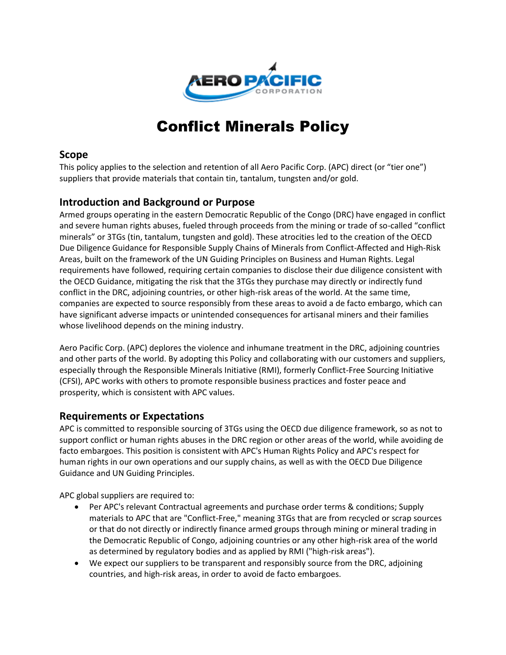

## Conflict Minerals Policy

## **Scope**

This policy applies to the selection and retention of all Aero Pacific Corp. (APC) direct (or "tier one") suppliers that provide materials that contain tin, tantalum, tungsten and/or gold.

## **Introduction and Background or Purpose**

Armed groups operating in the eastern Democratic Republic of the Congo (DRC) have engaged in conflict and severe human rights abuses, fueled through proceeds from the mining or trade of so-called "conflict minerals" or 3TGs (tin, tantalum, tungsten and gold). These atrocities led to the creation of the OECD Due Diligence Guidance for Responsible Supply Chains of Minerals from Conflict-Affected and High-Risk Areas, built on the framework of the UN Guiding Principles on Business and Human Rights. Legal requirements have followed, requiring certain companies to disclose their due diligence consistent with the OECD Guidance, mitigating the risk that the 3TGs they purchase may directly or indirectly fund conflict in the DRC, adjoining countries, or other high-risk areas of the world. At the same time, companies are expected to source responsibly from these areas to avoid a de facto embargo, which can have significant adverse impacts or unintended consequences for artisanal miners and their families whose livelihood depends on the mining industry.

Aero Pacific Corp. (APC) deplores the violence and inhumane treatment in the DRC, adjoining countries and other parts of the world. By adopting this Policy and collaborating with our customers and suppliers, especially through the Responsible Minerals Initiative (RMI), formerly Conflict-Free Sourcing Initiative (CFSI), APC works with others to promote responsible business practices and foster peace and prosperity, which is consistent with APC values.

## **Requirements or Expectations**

APC is committed to responsible sourcing of 3TGs using the OECD due diligence framework, so as not to support conflict or human rights abuses in the DRC region or other areas of the world, while avoiding de facto embargoes. This position is consistent with APC's Human Rights Policy and APC's respect for human rights in our own operations and our supply chains, as well as with the OECD Due Diligence Guidance and UN Guiding Principles.

APC global suppliers are required to:

- Per APC's relevant Contractual agreements and purchase order terms & conditions; Supply materials to APC that are "Conflict-Free," meaning 3TGs that are from recycled or scrap sources or that do not directly or indirectly finance armed groups through mining or mineral trading in the Democratic Republic of Congo, adjoining countries or any other high-risk area of the world as determined by regulatory bodies and as applied by RMI ("high-risk areas").
- We expect our suppliers to be transparent and responsibly source from the DRC, adjoining countries, and high-risk areas, in order to avoid de facto embargoes.